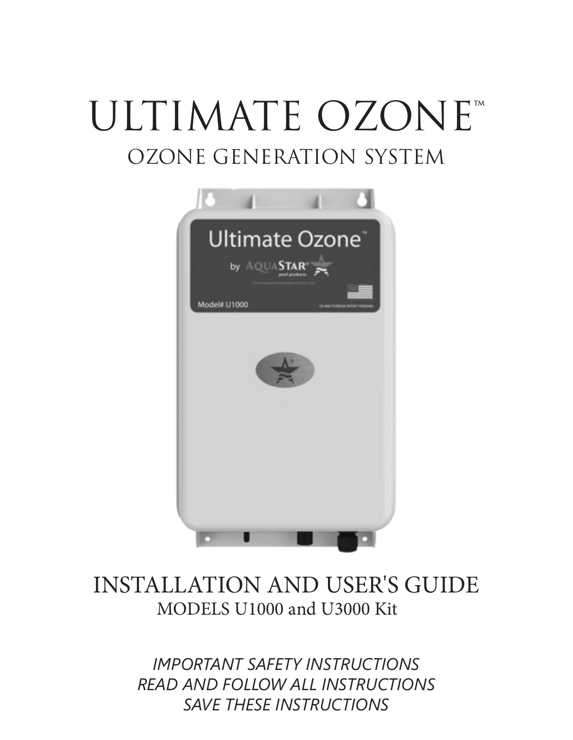# ULTIMATE OZONE™ OZONE GENERATION SYSTEM



# MODELS U1000 and U3000 Kit INSTALLATION AND USER'S GUIDE

*IMPORTANT SAFETY INSTRUCTIONS READ AND FOLLOW ALL INSTRUCTIONS SAVE THESE INSTRUCTIONS*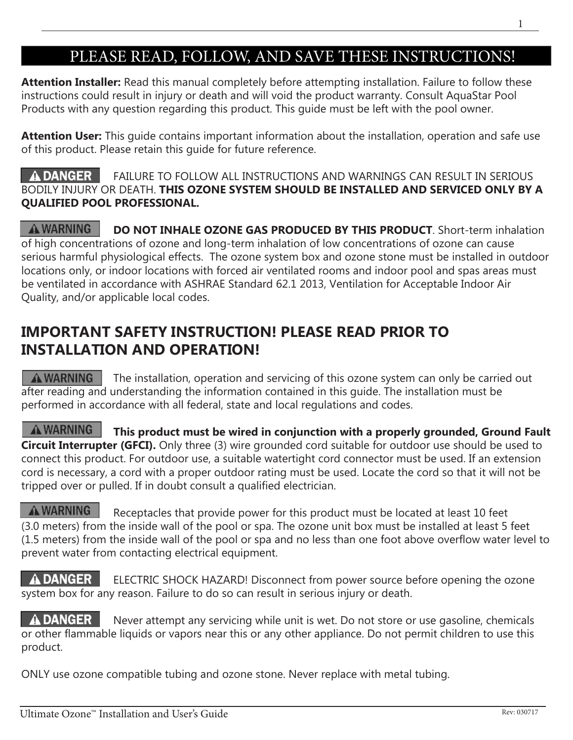# PLEASE READ, FOLLOW, AND SAVE THESE INSTRUCTIONS!

**Attention Installer:** Read this manual completely before attempting installation. Failure to follow these instructions could result in injury or death and will void the product warranty. Consult AquaStar Pool Products with any question regarding this product. This guide must be left with the pool owner.

**Attention User:** This guide contains important information about the installation, operation and safe use of this product. Please retain this guide for future reference.

#### A DANGER FAILURE TO FOLLOW ALL INSTRUCTIONS AND WARNINGS CAN RESULT IN SERIOUS BODILY INJURY OR DEATH. **THIS OZONE SYSTEM SHOULD BE INSTALLED AND SERVICED ONLY BY A QUALIFIED POOL PROFESSIONAL.**

**A WARNING DO NOT INHALE OZONE GAS PRODUCED BY THIS PRODUCT**. Short-term inhalation of high concentrations of ozone and long-term inhalation of low concentrations of ozone can cause serious harmful physiological effects. The ozone system box and ozone stone must be installed in outdoor locations only, or indoor locations with forced air ventilated rooms and indoor pool and spas areas must be ventilated in accordance with ASHRAE Standard 62.1 2013, Ventilation for Acceptable Indoor Air Quality, and/or applicable local codes.

## **IMPORTANT SAFETY INSTRUCTION! PLEASE READ PRIOR TO INSTALLATION AND OPERATION!**

 $\triangle$  WARNING The installation, operation and servicing of this ozone system can only be carried out after reading and understanding the information contained in this guide. The installation must be performed in accordance with all federal, state and local regulations and codes.

**A** WARNING This product must be wired in conjunction with a properly grounded, Ground Fault **Circuit Interrupter (GFCI).** Only three (3) wire grounded cord suitable for outdoor use should be used to connect this product. For outdoor use, a suitable watertight cord connector must be used. If an extension cord is necessary, a cord with a proper outdoor rating must be used. Locate the cord so that it will not be tripped over or pulled. If in doubt consult a qualified electrician.

**A WARNING** Receptacles that provide power for this product must be located at least 10 feet (3.0 meters) from the inside wall of the pool or spa. The ozone unit box must be installed at least 5 feet (1.5 meters) from the inside wall of the pool or spa and no less than one foot above overflow water level to prevent water from contacting electrical equipment.

**A DANGER** ELECTRIC SHOCK HAZARD! Disconnect from power source before opening the ozone system box for any reason. Failure to do so can result in serious injury or death.

 $\triangle$  DANGER  $\triangle$  Never attempt any servicing while unit is wet. Do not store or use gasoline, chemicals or other flammable liquids or vapors near this or any other appliance. Do not permit children to use this product.

ONLY use ozone compatible tubing and ozone stone. Never replace with metal tubing.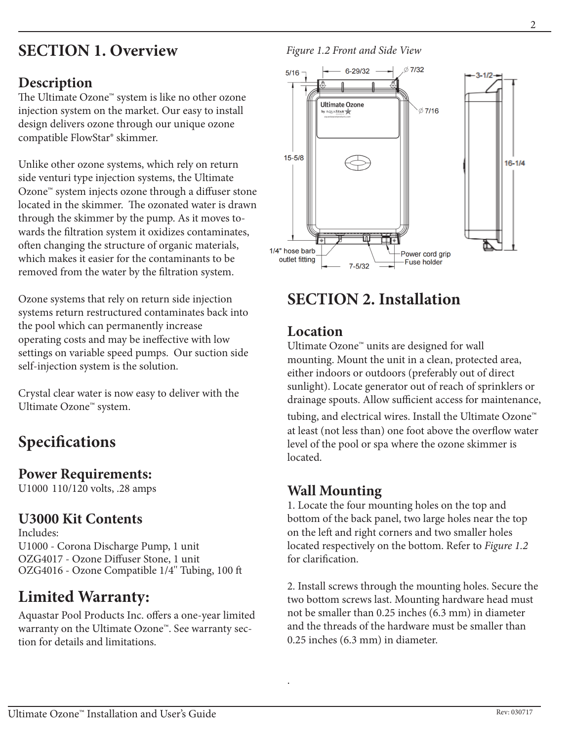# **SECTION 1. Overview**

## **Description**

The Ultimate Ozone™ system is like no other ozone injection system on the market. Our easy to install design delivers ozone through our unique ozone compatible FlowStar® skimmer.

Unlike other ozone systems, which rely on return side venturi type injection systems, the Ultimate Ozone™ system injects ozone through a diffuser stone located in the skimmer. The ozonated water is drawn through the skimmer by the pump. As it moves towards the filtration system it oxidizes contaminates, often changing the structure of organic materials, which makes it easier for the contaminants to be removed from the water by the filtration system.

Ozone systems that rely on return side injection systems return restructured contaminates back into the pool which can permanently increase operating costs and may be ineffective with low settings on variable speed pumps. Our suction side self-injection system is the solution.

Crystal clear water is now easy to deliver with the Ultimate Ozone™ system.

# **Specifications**

#### **Power Requirements:**

U1000 110/120 volts, .28 amps

## **U3000 Kit Contents**

Includes: U1000 - Corona Discharge Pump, 1 unit OZG4017 - Ozone Diffuser Stone, 1 unit OZG4016 - Ozone Compatible 1/4'' Tubing, 100 ft

# **Limited Warranty:**

Aquastar Pool Products Inc. offers a one-year limited warranty on the Ultimate Ozone™. See warranty section for details and limitations.

#### *Figure 1.2 Front and Side View*



## **SECTION 2. Installation**

#### **Location**

Ultimate Ozone™ units are designed for wall mounting. Mount the unit in a clean, protected area, either indoors or outdoors (preferably out of direct sunlight). Locate generator out of reach of sprinklers or drainage spouts. Allow sufficient access for maintenance, tubing, and electrical wires. Install the Ultimate Ozone™ at least (not less than) one foot above the overflow water level of the pool or spa where the ozone skimmer is located.

## **Wall Mounting**

.

1. Locate the four mounting holes on the top and bottom of the back panel, two large holes near the top on the left and right corners and two smaller holes located respectively on the bottom. Refer to *Figure 1.2* for clarification.

2. Install screws through the mounting holes. Secure the two bottom screws last. Mounting hardware head must not be smaller than 0.25 inches (6.3 mm) in diameter and the threads of the hardware must be smaller than 0.25 inches (6.3 mm) in diameter.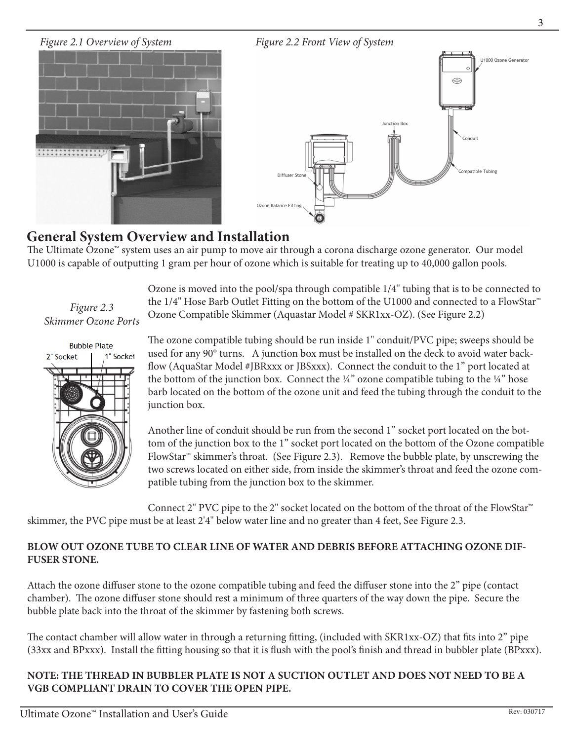

## **General System Overview and Installation**

The Ultimate Ozone™ system uses an air pump to move air through a corona discharge ozone generator. Our model U1000 is capable of outputting 1 gram per hour of ozone which is suitable for treating up to 40,000 gallon pools.

*Figure 2.3 Skimmer Ozone Ports*



Ozone is moved into the pool/spa through compatible 1/4'' tubing that is to be connected to the 1/4'' Hose Barb Outlet Fitting on the bottom of the U1000 and connected to a FlowStar™ Ozone Compatible Skimmer (Aquastar Model # SKR1xx-OZ). (See Figure 2.2)

The ozone compatible tubing should be run inside 1'' conduit/PVC pipe; sweeps should be used for any 90° turns. A junction box must be installed on the deck to avoid water backflow (AquaStar Model #JBRxxx or JBSxxx). Connect the conduit to the 1" port located at the bottom of the junction box. Connect the  $\frac{1}{4}$ " ozone compatible tubing to the  $\frac{1}{4}$ " hose barb located on the bottom of the ozone unit and feed the tubing through the conduit to the junction box.

Another line of conduit should be run from the second 1" socket port located on the bottom of the junction box to the 1" socket port located on the bottom of the Ozone compatible FlowStar™ skimmer's throat. (See Figure 2.3). Remove the bubble plate, by unscrewing the two screws located on either side, from inside the skimmer's throat and feed the ozone compatible tubing from the junction box to the skimmer.

Connect 2'' PVC pipe to the 2'' socket located on the bottom of the throat of the FlowStar™ skimmer, the PVC pipe must be at least 2'4'' below water line and no greater than 4 feet, See Figure 2.3.

#### **BLOW OUT OZONE TUBE TO CLEAR LINE OF WATER AND DEBRIS BEFORE ATTACHING OZONE DIF-FUSER STONE.**

Attach the ozone diffuser stone to the ozone compatible tubing and feed the diffuser stone into the 2" pipe (contact chamber). The ozone diffuser stone should rest a minimum of three quarters of the way down the pipe. Secure the bubble plate back into the throat of the skimmer by fastening both screws.

The contact chamber will allow water in through a returning fitting, (included with SKR1xx-OZ) that fits into 2" pipe (33xx and BPxxx). Install the fitting housing so that it is flush with the pool's finish and thread in bubbler plate (BPxxx).

#### **NOTE: THE THREAD IN BUBBLER PLATE IS NOT A SUCTION OUTLET AND DOES NOT NEED TO BE A VGB COMPLIANT DRAIN TO COVER THE OPEN PIPE.**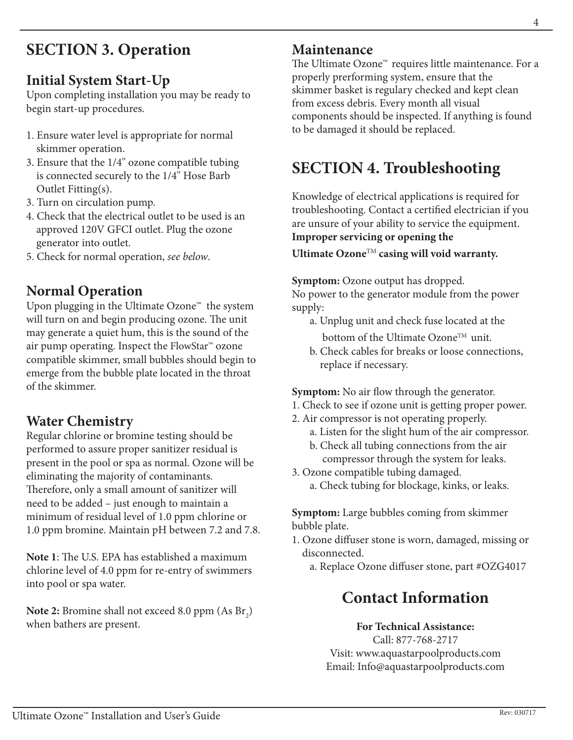# **SECTION 3. Operation**

## **Initial System Start-Up**

Upon completing installation you may be ready to begin start-up procedures.

- 1. Ensure water level is appropriate for normal skimmer operation.
- 3. Ensure that the 1/4'' ozone compatible tubing is connected securely to the 1/4'' Hose Barb Outlet Fitting(s).
- 3. Turn on circulation pump.
- 4. Check that the electrical outlet to be used is an approved 120V GFCI outlet. Plug the ozone generator into outlet.
- 5. Check for normal operation, *see below*.

## **Normal Operation**

Upon plugging in the Ultimate Ozone<sup>™</sup> the system will turn on and begin producing ozone. The unit may generate a quiet hum, this is the sound of the air pump operating. Inspect the FlowStar™ ozone compatible skimmer, small bubbles should begin to emerge from the bubble plate located in the throat of the skimmer.

## **Water Chemistry**

Regular chlorine or bromine testing should be performed to assure proper sanitizer residual is present in the pool or spa as normal. Ozone will be eliminating the majority of contaminants. Therefore, only a small amount of sanitizer will need to be added – just enough to maintain a minimum of residual level of 1.0 ppm chlorine or 1.0 ppm bromine. Maintain pH between 7.2 and 7.8.

**Note 1**: The U.S. EPA has established a maximum chlorine level of 4.0 ppm for re-entry of swimmers into pool or spa water.

**Note 2:** Bromine shall not exceed  $8.0$  ppm  $(As Br<sub>2</sub>)$ when bathers are present.

#### **Maintenance**

The Ultimate Ozone™ requires little maintenance. For a properly prerforming system, ensure that the skimmer basket is regulary checked and kept clean from excess debris. Every month all visual components should be inspected. If anything is found to be damaged it should be replaced.

## **SECTION 4. Troubleshooting**

Knowledge of electrical applications is required for troubleshooting. Contact a certified electrician if you are unsure of your ability to service the equipment. **Improper servicing or opening the** 

**Ultimate Ozone**TM **casing will void warranty.**

**Symptom:** Ozone output has dropped.

No power to the generator module from the power supply:

- a. Unplug unit and check fuse located at the bottom of the Ultimate Ozone™ unit.
- b. Check cables for breaks or loose connections, replace if necessary.

**Symptom:** No air flow through the generator.

- 1. Check to see if ozone unit is getting proper power.
- 2. Air compressor is not operating properly.
	- a. Listen for the slight hum of the air compressor.
	- b. Check all tubing connections from the air compressor through the system for leaks.
- 3. Ozone compatible tubing damaged.
	- a. Check tubing for blockage, kinks, or leaks.

**Symptom:** Large bubbles coming from skimmer bubble plate.

- 1. Ozone diffuser stone is worn, damaged, missing or disconnected.
	- a. Replace Ozone diffuser stone, part #OZG4017

## **Contact Information**

#### **For Technical Assistance:**

Call: 877-768-2717 Visit: www.aquastarpoolproducts.com Email: Info@aquastarpoolproducts.com 4